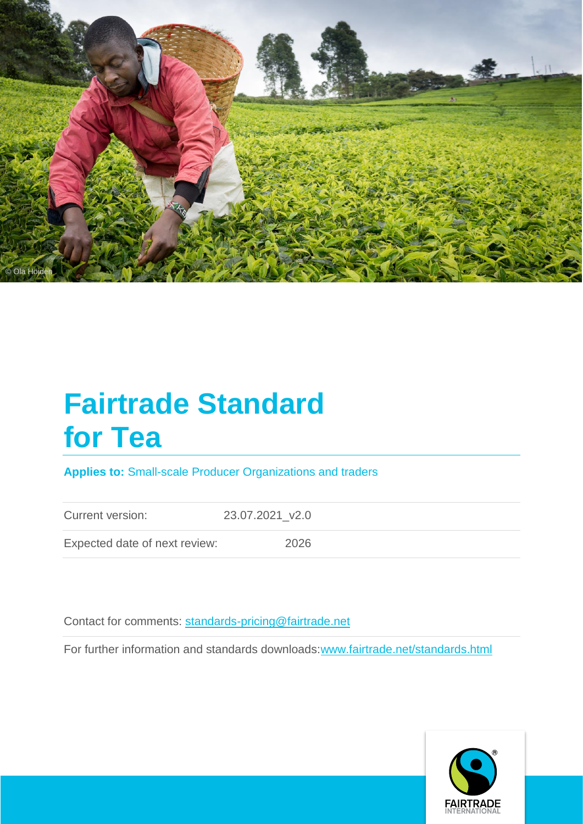

# **Fairtrade Standard for Tea**

**Applies to:** Small-scale Producer Organizations and traders

Current version: 23.07.2021\_v2.0

Expected date of next review: 2026

Contact for comments: [standards-pricing@fairtrade.net](mailto:standards-pricing@fairtrade.net)

For further information and standards downloads[:www.fairtrade.net/standards.html](http://www.fairtrade.net/standards.html)

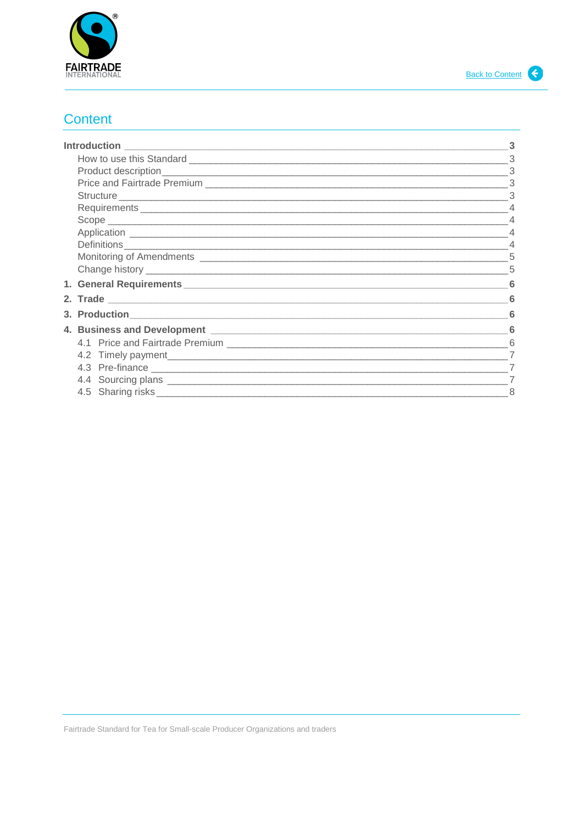

# <span id="page-1-0"></span>**Content**

|                                    | 3              |
|------------------------------------|----------------|
|                                    |                |
|                                    | 3              |
|                                    | 3              |
|                                    |                |
|                                    |                |
|                                    |                |
|                                    |                |
|                                    |                |
|                                    |                |
|                                    |                |
|                                    |                |
| 3. Production <b>Analysis 1996</b> |                |
|                                    |                |
|                                    | 6              |
|                                    | $\overline{7}$ |
| 4.3 Pre-finance                    |                |
|                                    |                |
|                                    |                |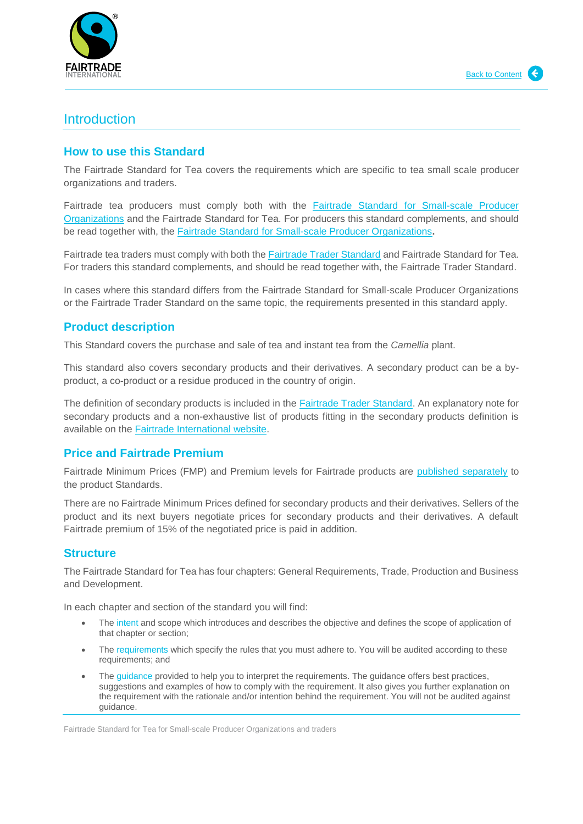

# <span id="page-2-0"></span>**Introduction**

## <span id="page-2-1"></span>**How to use this Standard**

The Fairtrade Standard for Tea covers the requirements which are specific to tea small scale producer organizations and traders.

Fairtrade tea producers must comply both with the Fairtrade Standard for Small-scale Producer Organizations and the Fairtrade Standard for Tea. For producers this standard complements, and should be read together with, the [Fairtrade Standard for Small-scale Producer Organizations](https://files.fairtrade.net/SPO_EN.pdf)**.**

Fairtrade tea traders must comply with both the [Fairtrade Trader Standard](https://files.fairtrade.net/standards/TS_EN.pdf) and Fairtrade Standard for Tea. For traders this standard complements, and should be read together with, the Fairtrade Trader Standard.

In cases where this standard differs from the Fairtrade Standard for Small-scale Producer Organizations or the Fairtrade Trader Standard on the same topic, the requirements presented in this standard apply.

# <span id="page-2-2"></span>**Product description**

This Standard covers the purchase and sale of tea and instant tea from the *Camellia* plant.

This standard also covers secondary products and their derivatives. A secondary product can be a byproduct, a co-product or a residue produced in the country of origin.

The definition of secondary products is included in the [Fairtrade Trader Standard.](http://www.fairtrade.net/fileadmin/user_upload/content/2009/standards/documents/generic-standards/TS_EN.pdf) An explanatory note for secondary products and a non-exhaustive list of products fitting in the secondary products definition is available on the [Fairtrade International website.](http://www.fairtrade.net/standards/our-standards/hired-labour-standards.html)

## <span id="page-2-3"></span>**Price and Fairtrade Premium**

Fairtrade Minimum Prices (FMP) and Premium levels for Fairtrade products are [published separately](https://www.fairtrade.net/standard/minimum-price-info) to the product Standards.

There are no Fairtrade Minimum Prices defined for secondary products and their derivatives. Sellers of the product and its next buyers negotiate prices for secondary products and their derivatives. A default Fairtrade premium of 15% of the negotiated price is paid in addition.

## <span id="page-2-4"></span>**Structure**

The Fairtrade Standard for Tea has four chapters: General Requirements, Trade, Production and Business and Development.

In each chapter and section of the standard you will find:

- The intent and scope which introduces and describes the objective and defines the scope of application of that chapter or section;
- The requirements which specify the rules that you must adhere to. You will be audited according to these requirements; and
- The guidance provided to help you to interpret the requirements. The guidance offers best practices, suggestions and examples of how to comply with the requirement. It also gives you further explanation on the requirement with the rationale and/or intention behind the requirement. You will not be audited against guidance.

Fairtrade Standard for Tea for Small-scale Producer Organizations and traders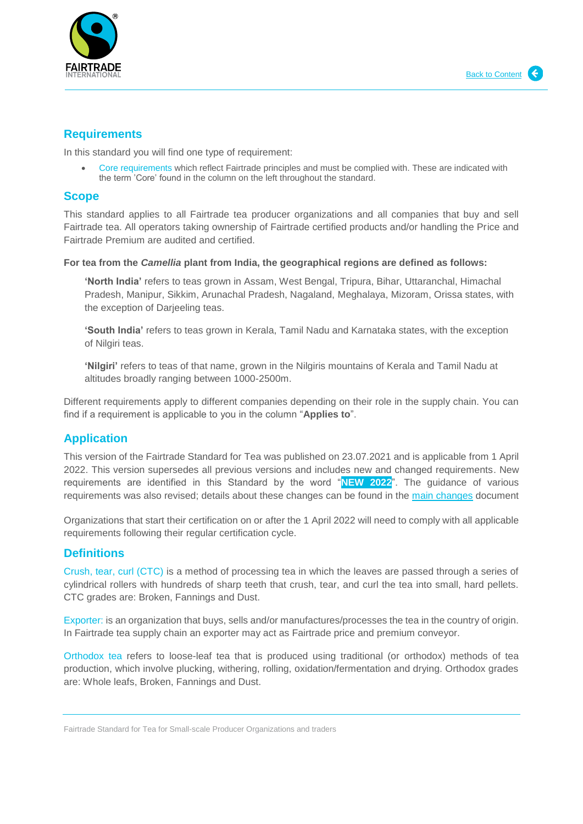

## <span id="page-3-0"></span>**Requirements**

In this standard you will find one type of requirement:

 Core requirements which reflect Fairtrade principles and must be complied with. These are indicated with the term 'Core' found in the column on the left throughout the standard.

## <span id="page-3-1"></span>**Scope**

This standard applies to all Fairtrade tea producer organizations and all companies that buy and sell Fairtrade tea. All operators taking ownership of Fairtrade certified products and/or handling the Price and Fairtrade Premium are audited and certified.

**For tea from the** *Camellia* **plant from India, the geographical regions are defined as follows:**

**'North India'** refers to teas grown in Assam, West Bengal, Tripura, Bihar, Uttaranchal, Himachal Pradesh, Manipur, Sikkim, Arunachal Pradesh, Nagaland, Meghalaya, Mizoram, Orissa states, with the exception of Darjeeling teas.

**'South India'** refers to teas grown in Kerala, Tamil Nadu and Karnataka states, with the exception of Nilgiri teas.

**'Nilgiri'** refers to teas of that name, grown in the Nilgiris mountains of Kerala and Tamil Nadu at altitudes broadly ranging between 1000-2500m.

Different requirements apply to different companies depending on their role in the supply chain. You can find if a requirement is applicable to you in the column "**Applies to**".

# <span id="page-3-2"></span>**Application**

This version of the Fairtrade Standard for Tea was published on 23.07.2021 and is applicable from 1 April 2022. This version supersedes all previous versions and includes new and changed requirements. New requirements are identified in this Standard by the word "**NEW 2022**". The guidance of various requirements was also revised; details about these changes can be found in the [main changes](https://www.fairtrade.net/standard/spo-tea) document

Organizations that start their certification on or after the 1 April 2022 will need to comply with all applicable requirements following their regular certification cycle.

# <span id="page-3-3"></span>**Definitions**

Crush, tear, curl (CTC) is a method of processing tea in which the leaves are passed through a series of cylindrical rollers with hundreds of sharp teeth that crush, tear, and curl the tea into small, hard pellets. CTC grades are: Broken, Fannings and Dust.

Exporter: is an organization that buys, sells and/or manufactures/processes the tea in the country of origin. In Fairtrade tea supply chain an exporter may act as Fairtrade price and premium conveyor.

Orthodox tea refers to loose-leaf tea that is produced using traditional (or orthodox) methods of tea production, which involve plucking, withering, rolling, oxidation/fermentation and drying. Orthodox grades are: Whole leafs, Broken, Fannings and Dust.

Fairtrade Standard for Tea for Small-scale Producer Organizations and traders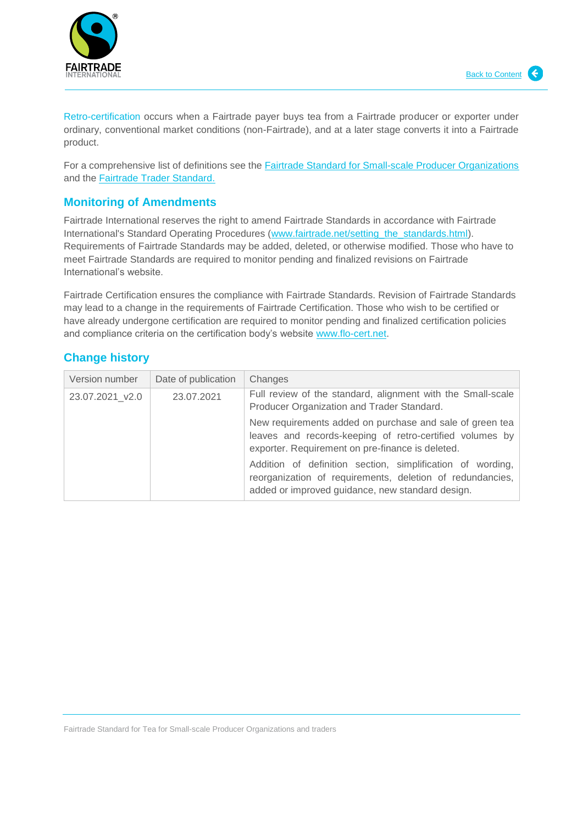

Retro-certification occurs when a Fairtrade payer buys tea from a Fairtrade producer or exporter under ordinary, conventional market conditions (non-Fairtrade), and at a later stage converts it into a Fairtrade product.

For a comprehensive list of definitions see the **Fairtrade Standard for Small-scale Producer Organizations** and the [Fairtrade Trader Standard.](http://www.fairtrade.net/fileadmin/user_upload/content/2009/standards/documents/generic-standards/TS_EN.pdf)

## <span id="page-4-0"></span>**Monitoring of Amendments**

Fairtrade International reserves the right to amend Fairtrade Standards in accordance with Fairtrade International's Standard Operating Procedures [\(www.fairtrade.net/setting\\_the\\_standards.html\)](https://www.fairtrade.net/setting_the_standards.html). Requirements of Fairtrade Standards may be added, deleted, or otherwise modified. Those who have to meet Fairtrade Standards are required to monitor pending and finalized revisions on Fairtrade International's website.

Fairtrade Certification ensures the compliance with Fairtrade Standards. Revision of Fairtrade Standards may lead to a change in the requirements of Fairtrade Certification. Those who wish to be certified or have already undergone certification are required to monitor pending and finalized certification policies and compliance criteria on the certification body's website [www.flo-cert.net.](https://www.flo-cert.net/)

# <span id="page-4-1"></span>**Change history**

| Version number  | Date of publication | Changes                                                                                                                                                                     |
|-----------------|---------------------|-----------------------------------------------------------------------------------------------------------------------------------------------------------------------------|
| 23.07.2021 v2.0 | 23.07.2021          | Full review of the standard, alignment with the Small-scale<br>Producer Organization and Trader Standard.                                                                   |
|                 |                     | New requirements added on purchase and sale of green tea<br>leaves and records-keeping of retro-certified volumes by<br>exporter. Requirement on pre-finance is deleted.    |
|                 |                     | Addition of definition section, simplification of wording,<br>reorganization of requirements, deletion of redundancies,<br>added or improved guidance, new standard design. |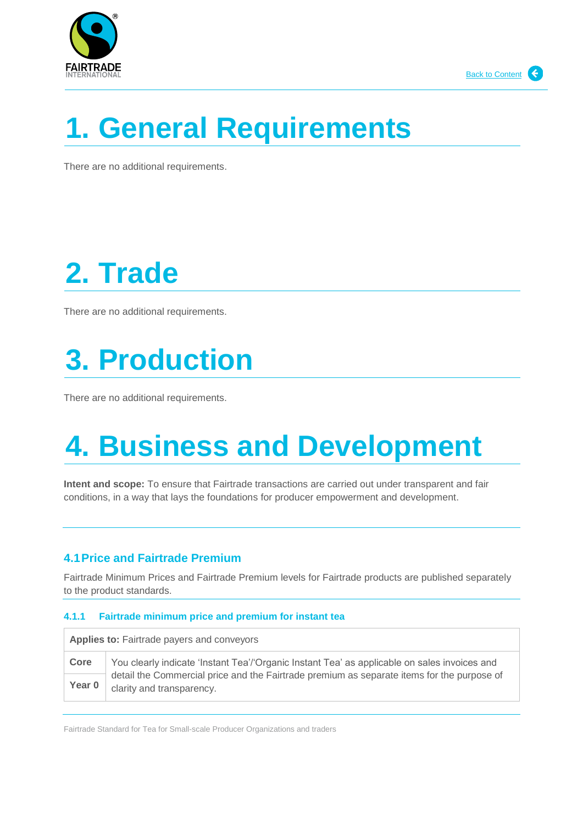



# <span id="page-5-0"></span>**1. General Requirements**

There are no additional requirements.

# <span id="page-5-1"></span>**2. Trade**

There are no additional requirements.

# <span id="page-5-2"></span>**3. Production**

There are no additional requirements.

# <span id="page-5-3"></span>**4. Business and Development**

**Intent and scope:** To ensure that Fairtrade transactions are carried out under transparent and fair conditions, in a way that lays the foundations for producer empowerment and development.

# <span id="page-5-4"></span>**4.1Price and Fairtrade Premium**

Fairtrade Minimum Prices and Fairtrade Premium levels for Fairtrade products are published separately to the product standards.

#### **4.1.1 Fairtrade minimum price and premium for instant tea**

| <b>Applies to: Fairtrade payers and conveyors</b> |                                                                                                                         |
|---------------------------------------------------|-------------------------------------------------------------------------------------------------------------------------|
| Core                                              | You clearly indicate 'Instant Tea'/'Organic Instant Tea' as applicable on sales invoices and                            |
| Year 0                                            | detail the Commercial price and the Fairtrade premium as separate items for the purpose of<br>clarity and transparency. |

Fairtrade Standard for Tea for Small-scale Producer Organizations and traders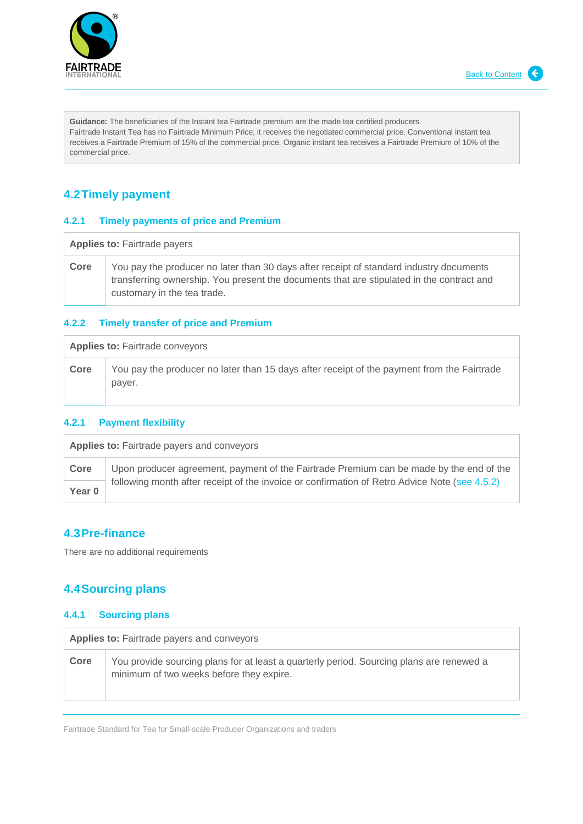



**Guidance:** The beneficiaries of the Instant tea Fairtrade premium are the made tea certified producers. Fairtrade Instant Tea has no Fairtrade Minimum Price; it receives the negotiated commercial price. Conventional instant tea receives a Fairtrade Premium of 15% of the commercial price. Organic instant tea receives a Fairtrade Premium of 10% of the commercial price.

# <span id="page-6-0"></span>**4.2Timely payment**

#### **4.2.1 Timely payments of price and Premium**

Applies to: Fairtrade payers **Core** You pay the producer no later than 30 days after receipt of standard industry documents transferring ownership. You present the documents that are stipulated in the contract and customary in the tea trade.

#### **4.2.2 Timely transfer of price and Premium**

| <b>Applies to: Fairtrade conveyors</b> |      |                                                                                                      |
|----------------------------------------|------|------------------------------------------------------------------------------------------------------|
|                                        | Core | You pay the producer no later than 15 days after receipt of the payment from the Fairtrade<br>payer. |

#### **4.2.1 Payment flexibility**

| <b>Applies to: Fairtrade payers and conveyors</b> |                                                                                               |
|---------------------------------------------------|-----------------------------------------------------------------------------------------------|
| Core                                              | Upon producer agreement, payment of the Fairtrade Premium can be made by the end of the       |
| Year 0                                            | following month after receipt of the invoice or confirmation of Retro Advice Note (see 4.5.2) |

## <span id="page-6-1"></span>**4.3Pre-finance**

There are no additional requirements

# <span id="page-6-2"></span>**4.4Sourcing plans**

### **4.4.1 Sourcing plans**

| <b>Applies to: Fairtrade payers and conveyors</b> |                                                                                                                                      |
|---------------------------------------------------|--------------------------------------------------------------------------------------------------------------------------------------|
| Core                                              | You provide sourcing plans for at least a quarterly period. Sourcing plans are renewed a<br>minimum of two weeks before they expire. |

Fairtrade Standard for Tea for Small-scale Producer Organizations and traders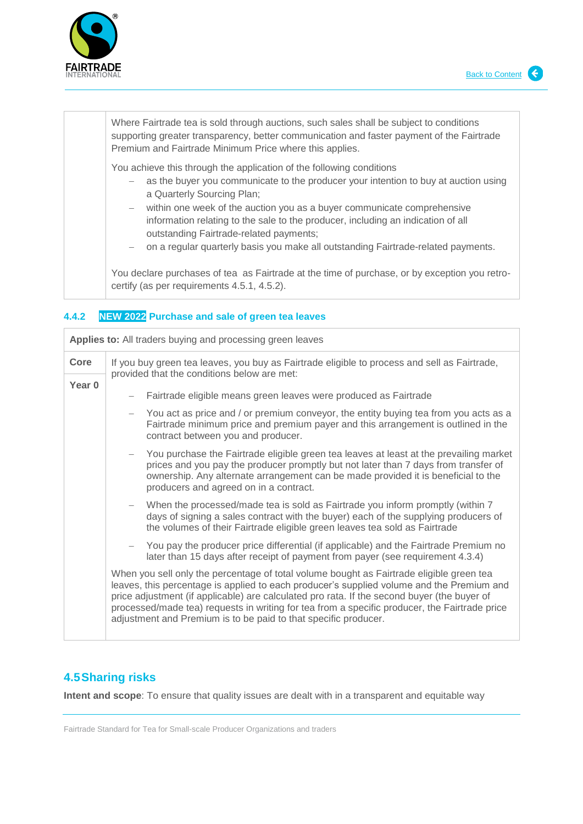

Where Fairtrade tea is sold through auctions, such sales shall be subject to conditions supporting greater transparency, better communication and faster payment of the Fairtrade Premium and Fairtrade Minimum Price where this applies. You achieve this through the application of the following conditions

- as the buyer you communicate to the producer your intention to buy at auction using a Quarterly Sourcing Plan;
- within one week of the auction you as a buyer communicate comprehensive information relating to the sale to the producer, including an indication of all outstanding Fairtrade-related payments;
- on a regular quarterly basis you make all outstanding Fairtrade-related payments.

You declare purchases of tea as Fairtrade at the time of purchase, or by exception you retrocertify (as per requirements 4.5.1, 4.5.2).

### **4.4.2 NEW 2022 Purchase and sale of green tea leaves**

| Applies to: All traders buying and processing green leaves |                                                                                                                                                                                                                                                                                                                                                                                                                                                          |  |
|------------------------------------------------------------|----------------------------------------------------------------------------------------------------------------------------------------------------------------------------------------------------------------------------------------------------------------------------------------------------------------------------------------------------------------------------------------------------------------------------------------------------------|--|
| Core                                                       | If you buy green tea leaves, you buy as Fairtrade eligible to process and sell as Fairtrade,<br>provided that the conditions below are met:                                                                                                                                                                                                                                                                                                              |  |
| Year <sub>0</sub>                                          |                                                                                                                                                                                                                                                                                                                                                                                                                                                          |  |
|                                                            | Fairtrade eligible means green leaves were produced as Fairtrade                                                                                                                                                                                                                                                                                                                                                                                         |  |
|                                                            | You act as price and / or premium conveyor, the entity buying tea from you acts as a<br>Fairtrade minimum price and premium payer and this arrangement is outlined in the<br>contract between you and producer.                                                                                                                                                                                                                                          |  |
|                                                            | - You purchase the Fairtrade eligible green tea leaves at least at the prevailing market<br>prices and you pay the producer promptly but not later than 7 days from transfer of<br>ownership. Any alternate arrangement can be made provided it is beneficial to the<br>producers and agreed on in a contract.                                                                                                                                           |  |
|                                                            | When the processed/made tea is sold as Fairtrade you inform promptly (within 7<br>days of signing a sales contract with the buyer) each of the supplying producers of<br>the volumes of their Fairtrade eligible green leaves tea sold as Fairtrade                                                                                                                                                                                                      |  |
|                                                            | You pay the producer price differential (if applicable) and the Fairtrade Premium no<br>later than 15 days after receipt of payment from payer (see requirement 4.3.4)                                                                                                                                                                                                                                                                                   |  |
|                                                            | When you sell only the percentage of total volume bought as Fairtrade eligible green tea<br>leaves, this percentage is applied to each producer's supplied volume and the Premium and<br>price adjustment (if applicable) are calculated pro rata. If the second buyer (the buyer of<br>processed/made tea) requests in writing for tea from a specific producer, the Fairtrade price<br>adjustment and Premium is to be paid to that specific producer. |  |

# <span id="page-7-0"></span>**4.5Sharing risks**

**Intent and scope**: To ensure that quality issues are dealt with in a transparent and equitable way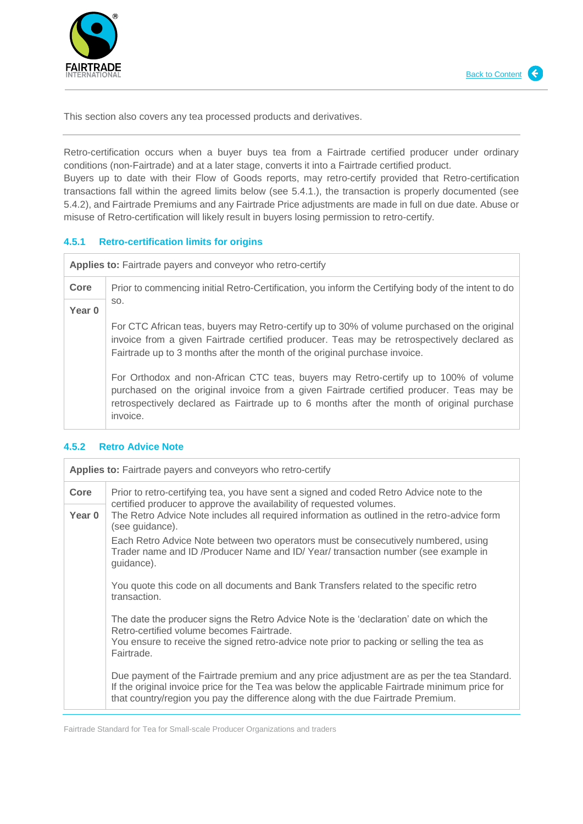

This section also covers any tea processed products and derivatives.

Retro-certification occurs when a buyer buys tea from a Fairtrade certified producer under ordinary conditions (non-Fairtrade) and at a later stage, converts it into a Fairtrade certified product.

Buyers up to date with their Flow of Goods reports, may retro-certify provided that Retro-certification transactions fall within the agreed limits below (see 5.4.1.), the transaction is properly documented (see 5.4.2), and Fairtrade Premiums and any Fairtrade Price adjustments are made in full on due date. Abuse or misuse of Retro-certification will likely result in buyers losing permission to retro-certify.

#### **4.5.1 Retro-certification limits for origins**

**Applies to:** Fairtrade payers and conveyor who retro-certify

**Core** Prior to commencing initial Retro-Certification, you inform the Certifying body of the intent to do so.

**Year 0**

For CTC African teas, buyers may Retro-certify up to 30% of volume purchased on the original invoice from a given Fairtrade certified producer. Teas may be retrospectively declared as Fairtrade up to 3 months after the month of the original purchase invoice.

For Orthodox and non-African CTC teas, buyers may Retro-certify up to 100% of volume purchased on the original invoice from a given Fairtrade certified producer. Teas may be retrospectively declared as Fairtrade up to 6 months after the month of original purchase invoice.

| <b>Applies to:</b> Fairtrade payers and conveyors who retro-certify |                                                                                                                                                                                                                                                                                  |
|---------------------------------------------------------------------|----------------------------------------------------------------------------------------------------------------------------------------------------------------------------------------------------------------------------------------------------------------------------------|
| Core                                                                | Prior to retro-certifying tea, you have sent a signed and coded Retro Advice note to the<br>certified producer to approve the availability of requested volumes.                                                                                                                 |
| Year 0                                                              | The Retro Advice Note includes all required information as outlined in the retro-advice form<br>(see guidance).                                                                                                                                                                  |
|                                                                     | Each Retro Advice Note between two operators must be consecutively numbered, using<br>Trader name and ID /Producer Name and ID/Year/ transaction number (see example in<br>guidance).                                                                                            |
|                                                                     | You quote this code on all documents and Bank Transfers related to the specific retro<br>transaction.                                                                                                                                                                            |
|                                                                     | The date the producer signs the Retro Advice Note is the 'declaration' date on which the<br>Retro-certified volume becomes Fairtrade.<br>You ensure to receive the signed retro-advice note prior to packing or selling the tea as<br>Fairtrade.                                 |
|                                                                     | Due payment of the Fairtrade premium and any price adjustment are as per the tea Standard.<br>If the original invoice price for the Tea was below the applicable Fairtrade minimum price for<br>that country/region you pay the difference along with the due Fairtrade Premium. |

### **4.5.2 Retro Advice Note**